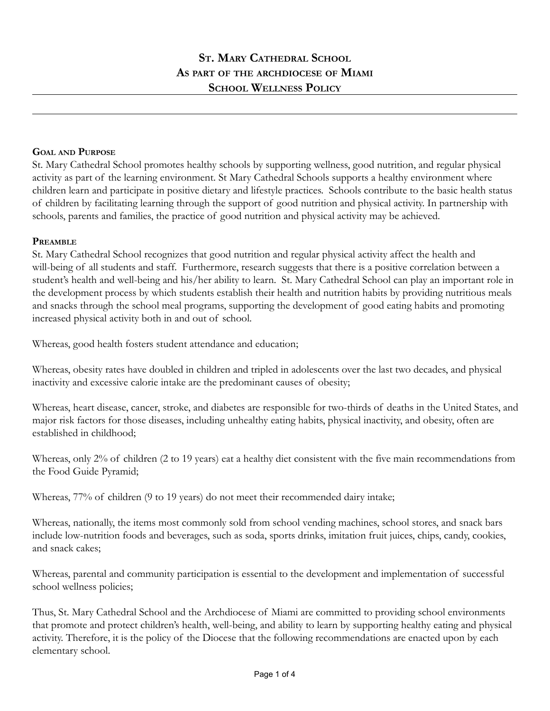### **GOAL AND PURPOSE**

St. Mary Cathedral School promotes healthy schools by supporting wellness, good nutrition, and regular physical activity as part of the learning environment. St Mary Cathedral Schools supports a healthy environment where children learn and participate in positive dietary and lifestyle practices. Schools contribute to the basic health status of children by facilitating learning through the support of good nutrition and physical activity. In partnership with schools, parents and families, the practice of good nutrition and physical activity may be achieved.

#### **PREAMBLE**

St. Mary Cathedral School recognizes that good nutrition and regular physical activity affect the health and will-being of all students and staff. Furthermore, research suggests that there is a positive correlation between a student's health and well-being and his/her ability to learn. St. Mary Cathedral School can play an important role in the development process by which students establish their health and nutrition habits by providing nutritious meals and snacks through the school meal programs, supporting the development of good eating habits and promoting increased physical activity both in and out of school.

Whereas, good health fosters student attendance and education;

Whereas, obesity rates have doubled in children and tripled in adolescents over the last two decades, and physical inactivity and excessive calorie intake are the predominant causes of obesity;

Whereas, heart disease, cancer, stroke, and diabetes are responsible for two-thirds of deaths in the United States, and major risk factors for those diseases, including unhealthy eating habits, physical inactivity, and obesity, often are established in childhood;

Whereas, only 2% of children (2 to 19 years) eat a healthy diet consistent with the five main recommendations from the Food Guide Pyramid;

Whereas, 77% of children (9 to 19 years) do not meet their recommended dairy intake;

Whereas, nationally, the items most commonly sold from school vending machines, school stores, and snack bars include low-nutrition foods and beverages, such as soda, sports drinks, imitation fruit juices, chips, candy, cookies, and snack cakes;

Whereas, parental and community participation is essential to the development and implementation of successful school wellness policies;

Thus, St. Mary Cathedral School and the Archdiocese of Miami are committed to providing school environments that promote and protect children's health, well-being, and ability to learn by supporting healthy eating and physical activity. Therefore, it is the policy of the Diocese that the following recommendations are enacted upon by each elementary school.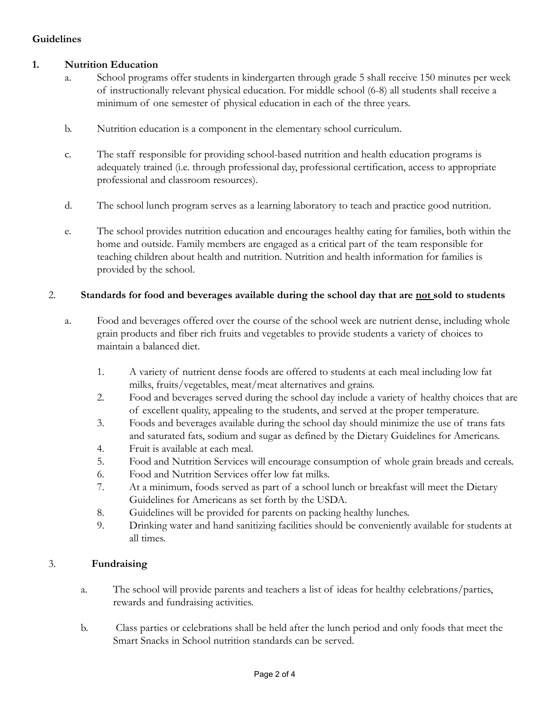# **Guidelines**

## **1. Nutrition Education**

- a. School programs offer students in kindergarten through grade 5 shall receive 150 minutes per week of instructionally relevant physical education. For middle school (6-8) all students shall receive a minimum of one semester of physical education in each of the three years.
- b. Nutrition education is a component in the elementary school curriculum.
- c. The staff responsible for providing school-based nutrition and health education programs is adequately trained (i.e. through professional day, professional certification, access to appropriate professional and classroom resources).
- d. The school lunch program serves as a learning laboratory to teach and practice good nutrition.
- e. The school provides nutrition education and encourages healthy eating for families, both within the home and outside. Family members are engaged as a critical part of the team responsible for teaching children about health and nutrition. Nutrition and health information for families is provided by the school.

### 2. **Standards for food and beverages available during the school day that are not sold to students**

- a. Food and beverages offered over the course of the school week are nutrient dense, including whole grain products and fiber rich fruits and vegetables to provide students a variety of choices to maintain a balanced diet.
	- 1. A variety of nutrient dense foods are offered to students at each meal including low fat milks, fruits/vegetables, meat/meat alternatives and grains.
	- 2. Food and beverages served during the school day include a variety of healthy choices that are of excellent quality, appealing to the students, and served at the proper temperature.
	- 3. Foods and beverages available during the school day should minimize the use of trans fats and saturated fats, sodium and sugar as defined by the Dietary Guidelines for Americans.
	- 4. Fruit is available at each meal.
	- 5. Food and Nutrition Services will encourage consumption of whole grain breads and cereals.
	- 6. Food and Nutrition Services offer low fat milks.
	- 7. At a minimum, foods served as part of a school lunch or breakfast will meet the Dietary Guidelines for Americans as set forth by the USDA.
	- 8. Guidelines will be provided for parents on packing healthy lunches.
	- 9. Drinking water and hand sanitizing facilities should be conveniently available for students at all times.

### 3. **Fundraising**

- a. The school will provide parents and teachers a list of ideas for healthy celebrations/parties, rewards and fundraising activities.
- b. Class parties or celebrations shall be held after the lunch period and only foods that meet the Smart Snacks in School nutrition standards can be served.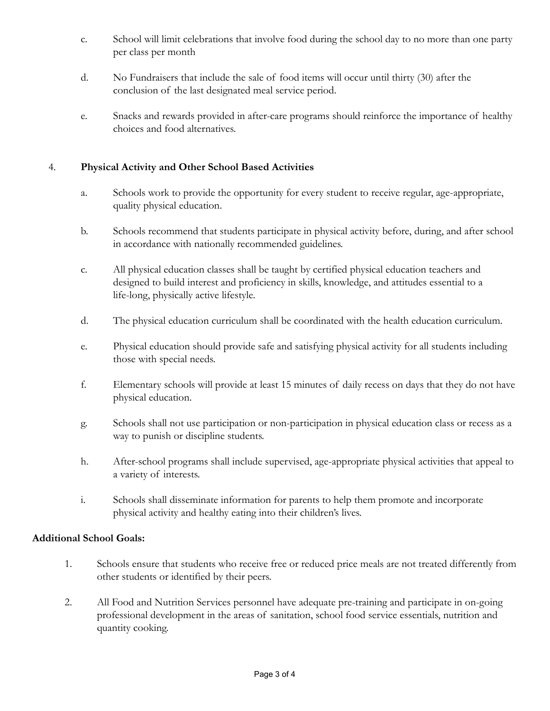- c. School will limit celebrations that involve food during the school day to no more than one party per class per month
- d. No Fundraisers that include the sale of food items will occur until thirty (30) after the conclusion of the last designated meal service period.
- e. Snacks and rewards provided in after-care programs should reinforce the importance of healthy choices and food alternatives.

## 4. **Physical Activity and Other School Based Activities**

- a. Schools work to provide the opportunity for every student to receive regular, age-appropriate, quality physical education.
- b. Schools recommend that students participate in physical activity before, during, and after school in accordance with nationally recommended guidelines.
- c. All physical education classes shall be taught by certified physical education teachers and designed to build interest and proficiency in skills, knowledge, and attitudes essential to a life-long, physically active lifestyle.
- d. The physical education curriculum shall be coordinated with the health education curriculum.
- e. Physical education should provide safe and satisfying physical activity for all students including those with special needs.
- f. Elementary schools will provide at least 15 minutes of daily recess on days that they do not have physical education.
- g. Schools shall not use participation or non-participation in physical education class or recess as a way to punish or discipline students.
- h. After-school programs shall include supervised, age-appropriate physical activities that appeal to a variety of interests.
- i. Schools shall disseminate information for parents to help them promote and incorporate physical activity and healthy eating into their children's lives.

## **Additional School Goals:**

- 1. Schools ensure that students who receive free or reduced price meals are not treated differently from other students or identified by their peers.
- 2. All Food and Nutrition Services personnel have adequate pre-training and participate in on-going professional development in the areas of sanitation, school food service essentials, nutrition and quantity cooking.